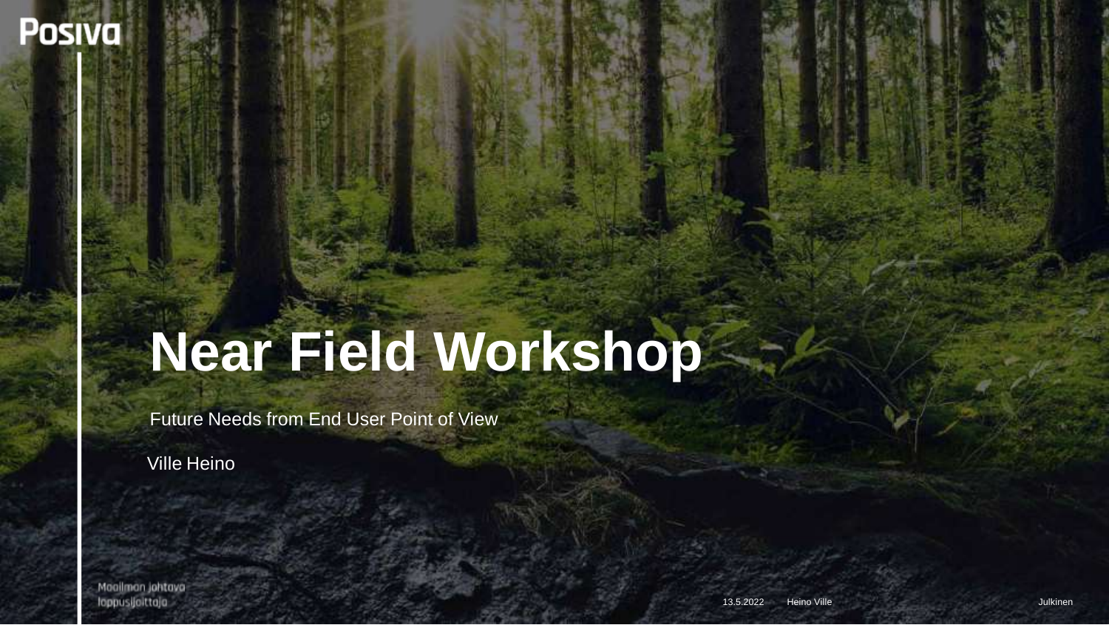**Posiva** 

## **Near Field Workshop**

Future Needs from End User Point of View

Ville Heino

Maailman jahtava loppusijoittaja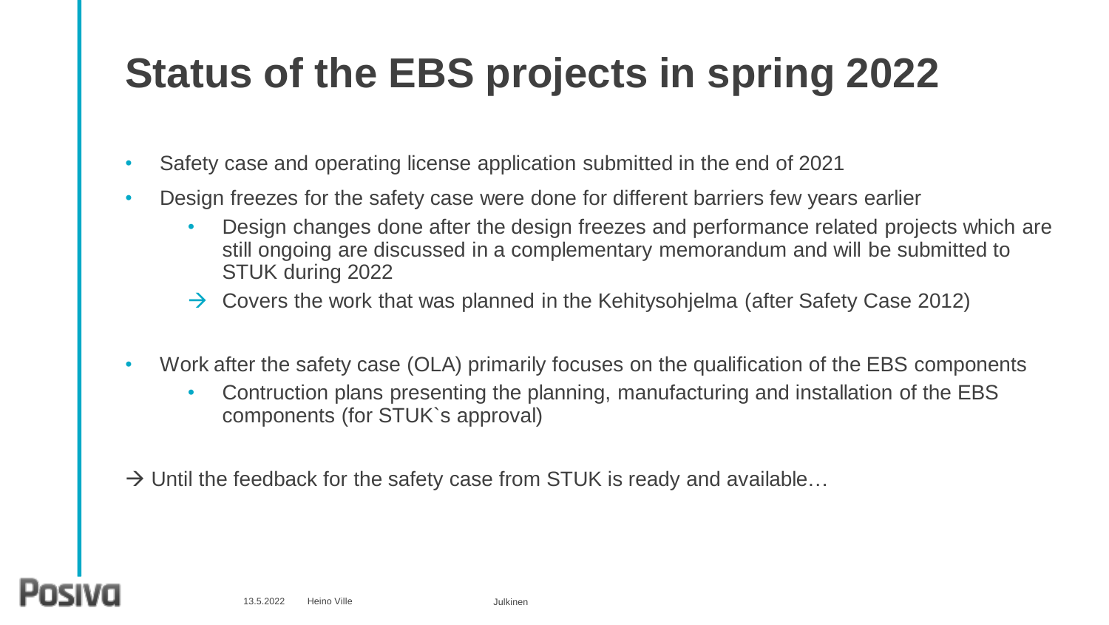### **Status of the EBS projects in spring 2022**

- Safety case and operating license application submitted in the end of 2021
- Design freezes for the safety case were done for different barriers few years earlier
	- Design changes done after the design freezes and performance related projects which are still ongoing are discussed in a complementary memorandum and will be submitted to STUK during 2022
	- $\rightarrow$  Covers the work that was planned in the Kehitysohjelma (after Safety Case 2012)
- Work after the safety case (OLA) primarily focuses on the qualification of the EBS components
	- Contruction plans presenting the planning, manufacturing and installation of the EBS components (for STUK`s approval)
- $\rightarrow$  Until the feedback for the safety case from STUK is ready and available...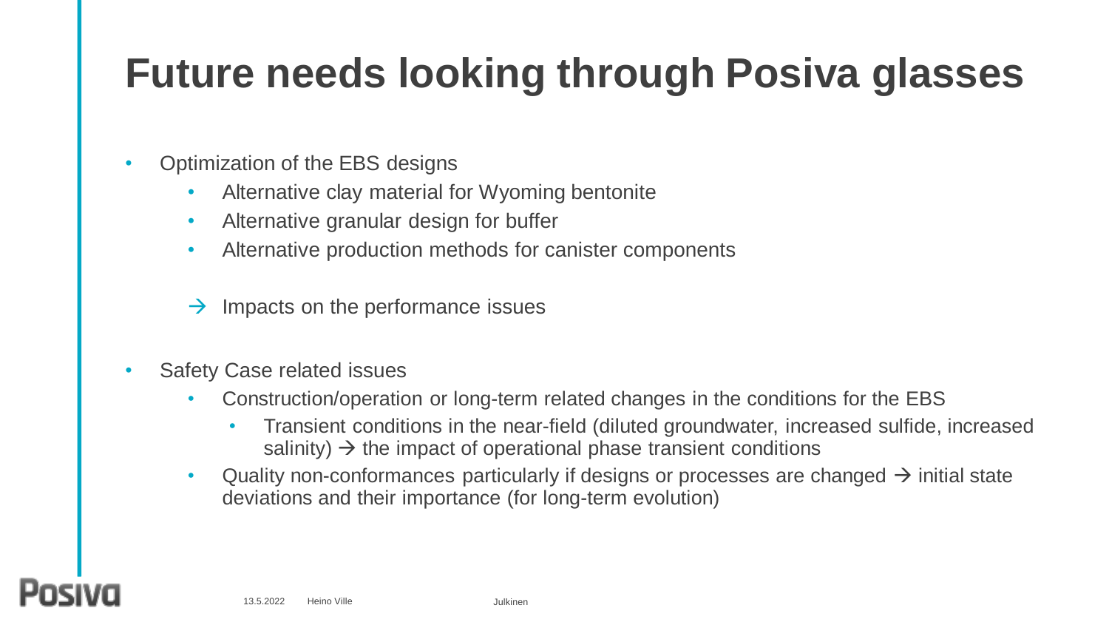#### **Future needs looking through Posiva glasses**

- Optimization of the EBS designs
	- Alternative clay material for Wyoming bentonite
	- Alternative granular design for buffer
	- Alternative production methods for canister components
	- Impacts on the performance issues
- Safety Case related issues
	- Construction/operation or long-term related changes in the conditions for the EBS
		- Transient conditions in the near-field (diluted groundwater, increased sulfide, increased salinity)  $\rightarrow$  the impact of operational phase transient conditions
	- Quality non-conformances particularly if designs or processes are changed  $\rightarrow$  initial state deviations and their importance (for long-term evolution)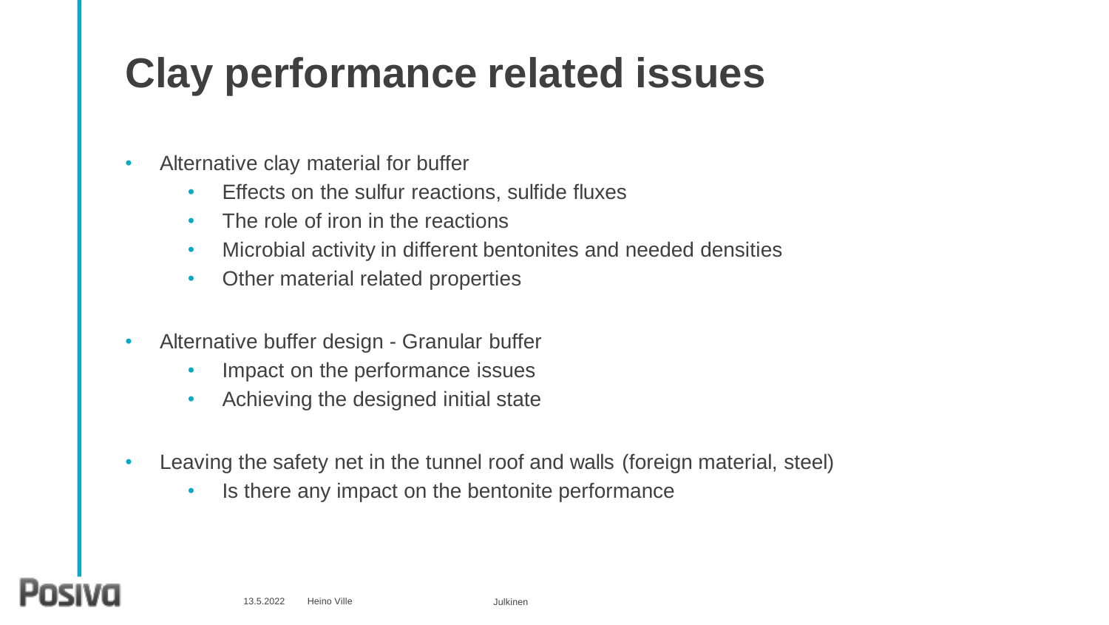#### **Clay performance related issues**

- Alternative clay material for buffer
	- Effects on the sulfur reactions, sulfide fluxes
	- The role of iron in the reactions
	- Microbial activity in different bentonites and needed densities
	- Other material related properties
- Alternative buffer design Granular buffer
	- Impact on the performance issues
	- Achieving the designed initial state
- Leaving the safety net in the tunnel roof and walls (foreign material, steel)
	- Is there any impact on the bentonite performance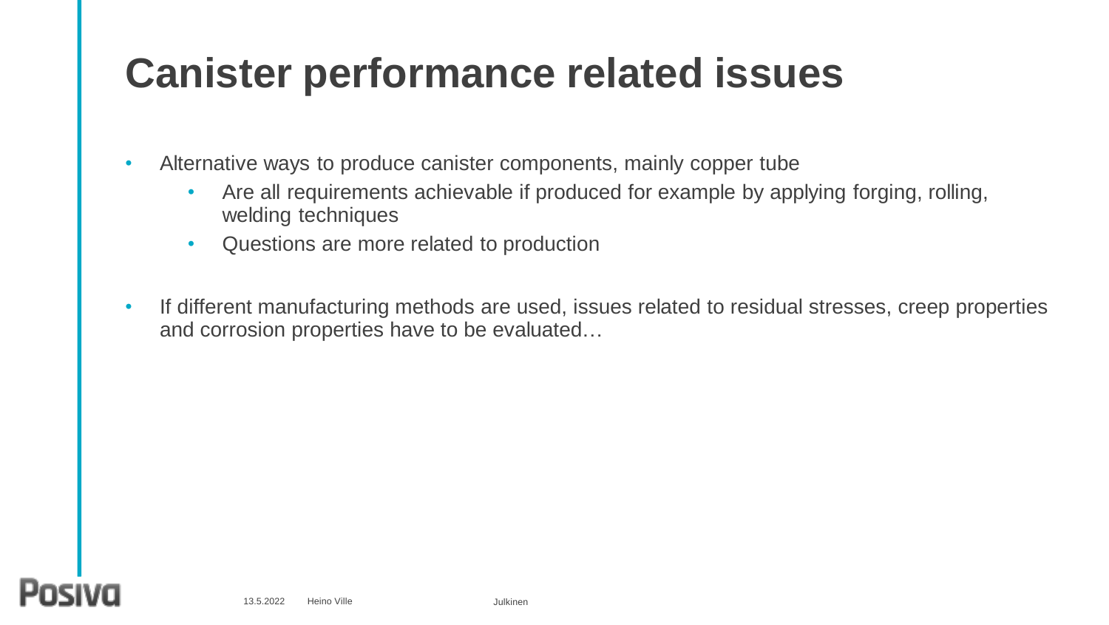#### **Canister performance related issues**

• Alternative ways to produce canister components, mainly copper tube

- Are all requirements achievable if produced for example by applying forging, rolling, welding techniques
- Questions are more related to production
- If different manufacturing methods are used, issues related to residual stresses, creep properties and corrosion properties have to be evaluated…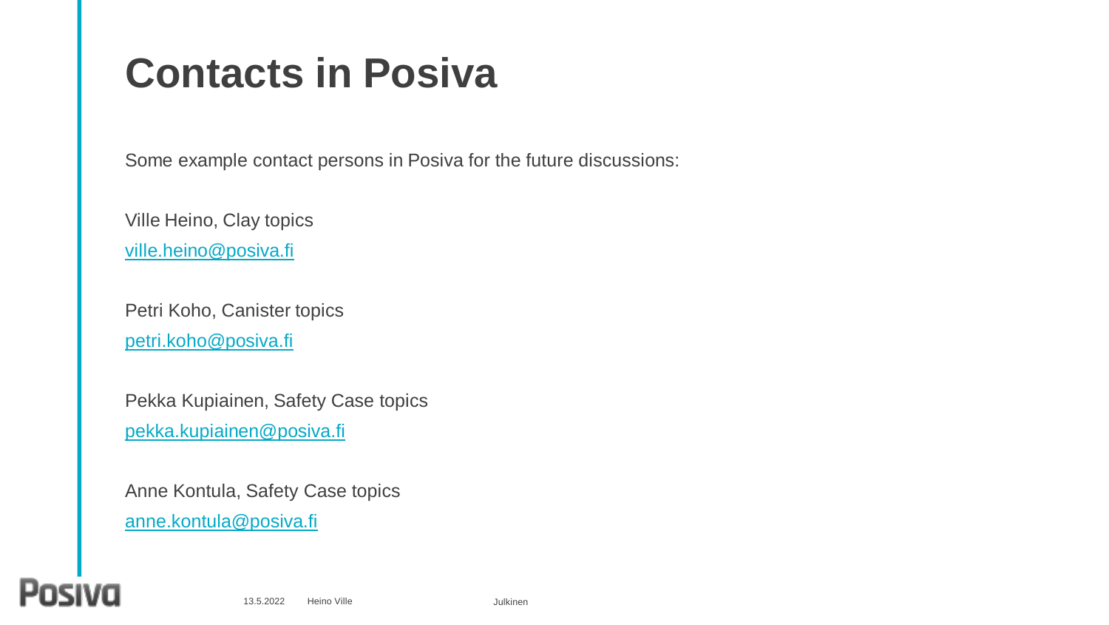#### **Contacts in Posiva**

Some example contact persons in Posiva for the future discussions:

Ville Heino, Clay topics

[ville.heino@posiva.fi](mailto:Ville.heino@posiva.fi)

Petri Koho, Canister topics [petri.koho@posiva.fi](mailto:Petri.koho@posiva.fi)

Pekka Kupiainen, Safety Case topics [pekka.kupiainen@posiva.fi](mailto:Pekka.kupiainen@posiva.fi)

Anne Kontula, Safety Case topics [anne.kontula@posiva.fi](mailto:anne.kontula@posiva.fi)

#### p